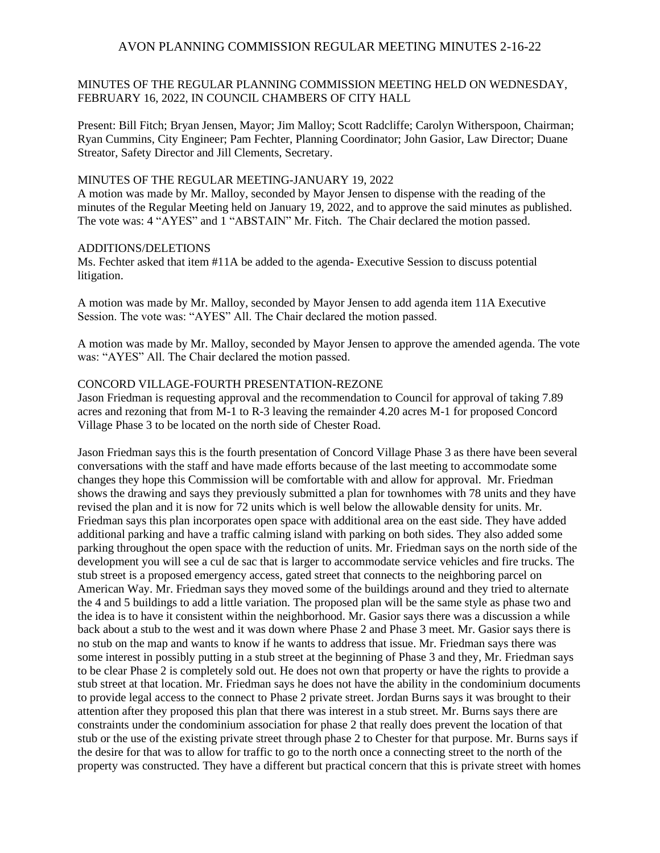## MINUTES OF THE REGULAR PLANNING COMMISSION MEETING HELD ON WEDNESDAY, FEBRUARY 16, 2022, IN COUNCIL CHAMBERS OF CITY HALL

Present: Bill Fitch; Bryan Jensen, Mayor; Jim Malloy; Scott Radcliffe; Carolyn Witherspoon, Chairman; Ryan Cummins, City Engineer; Pam Fechter, Planning Coordinator; John Gasior, Law Director; Duane Streator, Safety Director and Jill Clements, Secretary.

## MINUTES OF THE REGULAR MEETING-JANUARY 19, 2022

A motion was made by Mr. Malloy, seconded by Mayor Jensen to dispense with the reading of the minutes of the Regular Meeting held on January 19, 2022, and to approve the said minutes as published. The vote was: 4 "AYES" and 1 "ABSTAIN" Mr. Fitch. The Chair declared the motion passed.

### ADDITIONS/DELETIONS

Ms. Fechter asked that item #11A be added to the agenda- Executive Session to discuss potential litigation.

A motion was made by Mr. Malloy, seconded by Mayor Jensen to add agenda item 11A Executive Session. The vote was: "AYES" All. The Chair declared the motion passed.

A motion was made by Mr. Malloy, seconded by Mayor Jensen to approve the amended agenda. The vote was: "AYES" All. The Chair declared the motion passed.

### CONCORD VILLAGE-FOURTH PRESENTATION-REZONE

Jason Friedman is requesting approval and the recommendation to Council for approval of taking 7.89 acres and rezoning that from M-1 to R-3 leaving the remainder 4.20 acres M-1 for proposed Concord Village Phase 3 to be located on the north side of Chester Road.

Jason Friedman says this is the fourth presentation of Concord Village Phase 3 as there have been several conversations with the staff and have made efforts because of the last meeting to accommodate some changes they hope this Commission will be comfortable with and allow for approval. Mr. Friedman shows the drawing and says they previously submitted a plan for townhomes with 78 units and they have revised the plan and it is now for 72 units which is well below the allowable density for units. Mr. Friedman says this plan incorporates open space with additional area on the east side. They have added additional parking and have a traffic calming island with parking on both sides. They also added some parking throughout the open space with the reduction of units. Mr. Friedman says on the north side of the development you will see a cul de sac that is larger to accommodate service vehicles and fire trucks. The stub street is a proposed emergency access, gated street that connects to the neighboring parcel on American Way. Mr. Friedman says they moved some of the buildings around and they tried to alternate the 4 and 5 buildings to add a little variation. The proposed plan will be the same style as phase two and the idea is to have it consistent within the neighborhood. Mr. Gasior says there was a discussion a while back about a stub to the west and it was down where Phase 2 and Phase 3 meet. Mr. Gasior says there is no stub on the map and wants to know if he wants to address that issue. Mr. Friedman says there was some interest in possibly putting in a stub street at the beginning of Phase 3 and they, Mr. Friedman says to be clear Phase 2 is completely sold out. He does not own that property or have the rights to provide a stub street at that location. Mr. Friedman says he does not have the ability in the condominium documents to provide legal access to the connect to Phase 2 private street. Jordan Burns says it was brought to their attention after they proposed this plan that there was interest in a stub street. Mr. Burns says there are constraints under the condominium association for phase 2 that really does prevent the location of that stub or the use of the existing private street through phase 2 to Chester for that purpose. Mr. Burns says if the desire for that was to allow for traffic to go to the north once a connecting street to the north of the property was constructed. They have a different but practical concern that this is private street with homes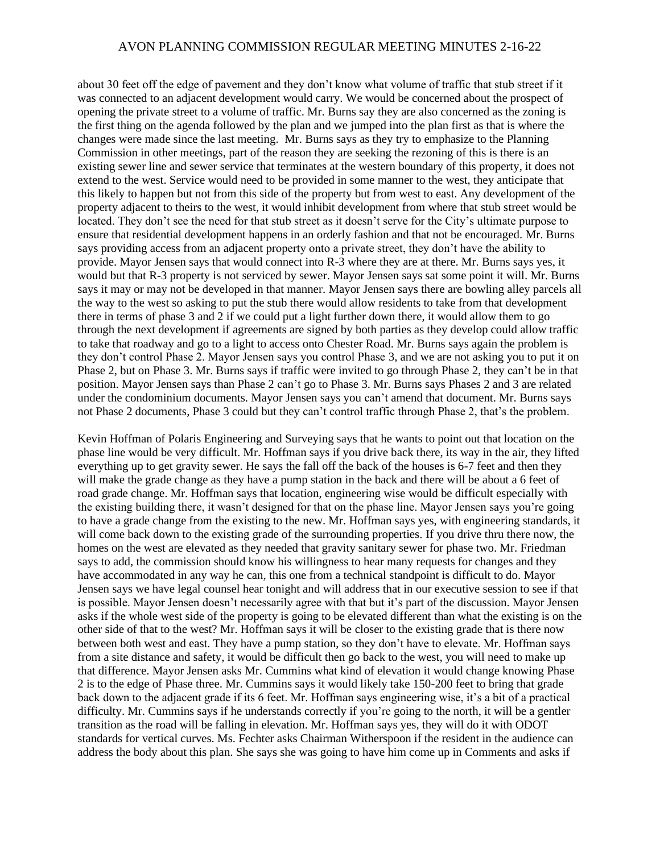about 30 feet off the edge of pavement and they don't know what volume of traffic that stub street if it was connected to an adjacent development would carry. We would be concerned about the prospect of opening the private street to a volume of traffic. Mr. Burns say they are also concerned as the zoning is the first thing on the agenda followed by the plan and we jumped into the plan first as that is where the changes were made since the last meeting. Mr. Burns says as they try to emphasize to the Planning Commission in other meetings, part of the reason they are seeking the rezoning of this is there is an existing sewer line and sewer service that terminates at the western boundary of this property, it does not extend to the west. Service would need to be provided in some manner to the west, they anticipate that this likely to happen but not from this side of the property but from west to east. Any development of the property adjacent to theirs to the west, it would inhibit development from where that stub street would be located. They don't see the need for that stub street as it doesn't serve for the City's ultimate purpose to ensure that residential development happens in an orderly fashion and that not be encouraged. Mr. Burns says providing access from an adjacent property onto a private street, they don't have the ability to provide. Mayor Jensen says that would connect into R-3 where they are at there. Mr. Burns says yes, it would but that R-3 property is not serviced by sewer. Mayor Jensen says sat some point it will. Mr. Burns says it may or may not be developed in that manner. Mayor Jensen says there are bowling alley parcels all the way to the west so asking to put the stub there would allow residents to take from that development there in terms of phase 3 and 2 if we could put a light further down there, it would allow them to go through the next development if agreements are signed by both parties as they develop could allow traffic to take that roadway and go to a light to access onto Chester Road. Mr. Burns says again the problem is they don't control Phase 2. Mayor Jensen says you control Phase 3, and we are not asking you to put it on Phase 2, but on Phase 3. Mr. Burns says if traffic were invited to go through Phase 2, they can't be in that position. Mayor Jensen says than Phase 2 can't go to Phase 3. Mr. Burns says Phases 2 and 3 are related under the condominium documents. Mayor Jensen says you can't amend that document. Mr. Burns says not Phase 2 documents, Phase 3 could but they can't control traffic through Phase 2, that's the problem.

Kevin Hoffman of Polaris Engineering and Surveying says that he wants to point out that location on the phase line would be very difficult. Mr. Hoffman says if you drive back there, its way in the air, they lifted everything up to get gravity sewer. He says the fall off the back of the houses is 6-7 feet and then they will make the grade change as they have a pump station in the back and there will be about a 6 feet of road grade change. Mr. Hoffman says that location, engineering wise would be difficult especially with the existing building there, it wasn't designed for that on the phase line. Mayor Jensen says you're going to have a grade change from the existing to the new. Mr. Hoffman says yes, with engineering standards, it will come back down to the existing grade of the surrounding properties. If you drive thru there now, the homes on the west are elevated as they needed that gravity sanitary sewer for phase two. Mr. Friedman says to add, the commission should know his willingness to hear many requests for changes and they have accommodated in any way he can, this one from a technical standpoint is difficult to do. Mayor Jensen says we have legal counsel hear tonight and will address that in our executive session to see if that is possible. Mayor Jensen doesn't necessarily agree with that but it's part of the discussion. Mayor Jensen asks if the whole west side of the property is going to be elevated different than what the existing is on the other side of that to the west? Mr. Hoffman says it will be closer to the existing grade that is there now between both west and east. They have a pump station, so they don't have to elevate. Mr. Hoffman says from a site distance and safety, it would be difficult then go back to the west, you will need to make up that difference. Mayor Jensen asks Mr. Cummins what kind of elevation it would change knowing Phase 2 is to the edge of Phase three. Mr. Cummins says it would likely take 150-200 feet to bring that grade back down to the adjacent grade if its 6 feet. Mr. Hoffman says engineering wise, it's a bit of a practical difficulty. Mr. Cummins says if he understands correctly if you're going to the north, it will be a gentler transition as the road will be falling in elevation. Mr. Hoffman says yes, they will do it with ODOT standards for vertical curves. Ms. Fechter asks Chairman Witherspoon if the resident in the audience can address the body about this plan. She says she was going to have him come up in Comments and asks if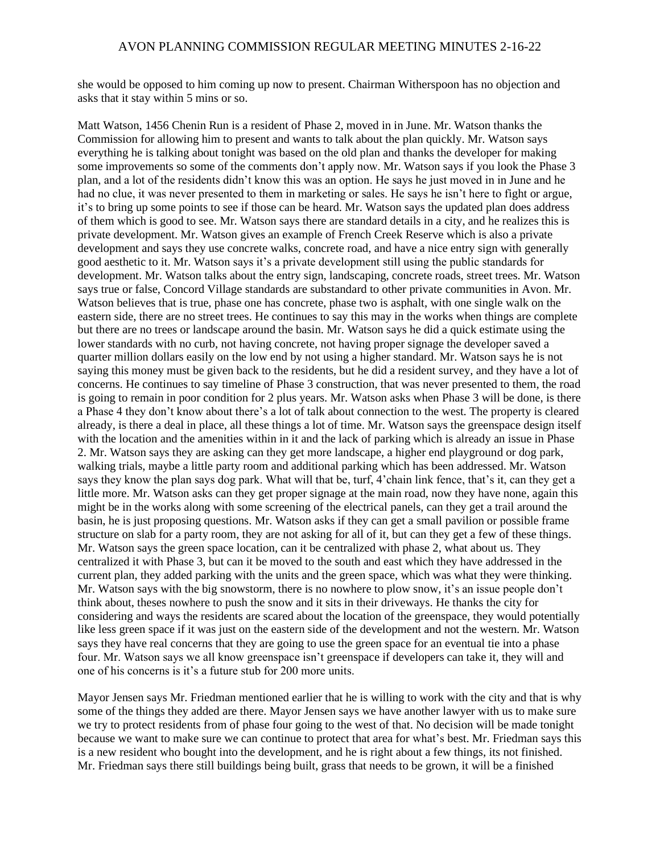she would be opposed to him coming up now to present. Chairman Witherspoon has no objection and asks that it stay within 5 mins or so.

Matt Watson, 1456 Chenin Run is a resident of Phase 2, moved in in June. Mr. Watson thanks the Commission for allowing him to present and wants to talk about the plan quickly. Mr. Watson says everything he is talking about tonight was based on the old plan and thanks the developer for making some improvements so some of the comments don't apply now. Mr. Watson says if you look the Phase 3 plan, and a lot of the residents didn't know this was an option. He says he just moved in in June and he had no clue, it was never presented to them in marketing or sales. He says he isn't here to fight or argue, it's to bring up some points to see if those can be heard. Mr. Watson says the updated plan does address of them which is good to see. Mr. Watson says there are standard details in a city, and he realizes this is private development. Mr. Watson gives an example of French Creek Reserve which is also a private development and says they use concrete walks, concrete road, and have a nice entry sign with generally good aesthetic to it. Mr. Watson says it's a private development still using the public standards for development. Mr. Watson talks about the entry sign, landscaping, concrete roads, street trees. Mr. Watson says true or false, Concord Village standards are substandard to other private communities in Avon. Mr. Watson believes that is true, phase one has concrete, phase two is asphalt, with one single walk on the eastern side, there are no street trees. He continues to say this may in the works when things are complete but there are no trees or landscape around the basin. Mr. Watson says he did a quick estimate using the lower standards with no curb, not having concrete, not having proper signage the developer saved a quarter million dollars easily on the low end by not using a higher standard. Mr. Watson says he is not saying this money must be given back to the residents, but he did a resident survey, and they have a lot of concerns. He continues to say timeline of Phase 3 construction, that was never presented to them, the road is going to remain in poor condition for 2 plus years. Mr. Watson asks when Phase 3 will be done, is there a Phase 4 they don't know about there's a lot of talk about connection to the west. The property is cleared already, is there a deal in place, all these things a lot of time. Mr. Watson says the greenspace design itself with the location and the amenities within in it and the lack of parking which is already an issue in Phase 2. Mr. Watson says they are asking can they get more landscape, a higher end playground or dog park, walking trials, maybe a little party room and additional parking which has been addressed. Mr. Watson says they know the plan says dog park. What will that be, turf, 4'chain link fence, that's it, can they get a little more. Mr. Watson asks can they get proper signage at the main road, now they have none, again this might be in the works along with some screening of the electrical panels, can they get a trail around the basin, he is just proposing questions. Mr. Watson asks if they can get a small pavilion or possible frame structure on slab for a party room, they are not asking for all of it, but can they get a few of these things. Mr. Watson says the green space location, can it be centralized with phase 2, what about us. They centralized it with Phase 3, but can it be moved to the south and east which they have addressed in the current plan, they added parking with the units and the green space, which was what they were thinking. Mr. Watson says with the big snowstorm, there is no nowhere to plow snow, it's an issue people don't think about, theses nowhere to push the snow and it sits in their driveways. He thanks the city for considering and ways the residents are scared about the location of the greenspace, they would potentially like less green space if it was just on the eastern side of the development and not the western. Mr. Watson says they have real concerns that they are going to use the green space for an eventual tie into a phase four. Mr. Watson says we all know greenspace isn't greenspace if developers can take it, they will and one of his concerns is it's a future stub for 200 more units.

Mayor Jensen says Mr. Friedman mentioned earlier that he is willing to work with the city and that is why some of the things they added are there. Mayor Jensen says we have another lawyer with us to make sure we try to protect residents from of phase four going to the west of that. No decision will be made tonight because we want to make sure we can continue to protect that area for what's best. Mr. Friedman says this is a new resident who bought into the development, and he is right about a few things, its not finished. Mr. Friedman says there still buildings being built, grass that needs to be grown, it will be a finished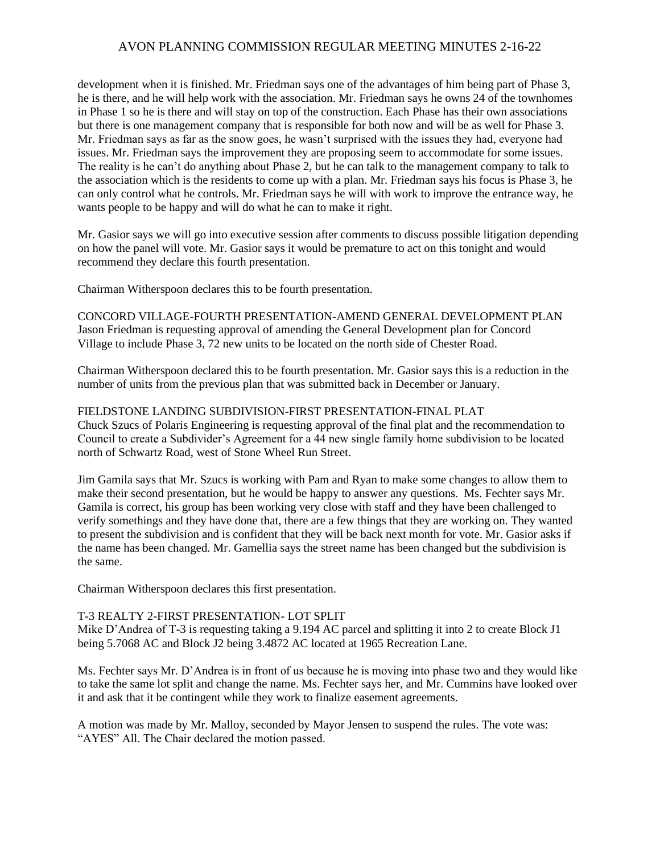development when it is finished. Mr. Friedman says one of the advantages of him being part of Phase 3, he is there, and he will help work with the association. Mr. Friedman says he owns 24 of the townhomes in Phase 1 so he is there and will stay on top of the construction. Each Phase has their own associations but there is one management company that is responsible for both now and will be as well for Phase 3. Mr. Friedman says as far as the snow goes, he wasn't surprised with the issues they had, everyone had issues. Mr. Friedman says the improvement they are proposing seem to accommodate for some issues. The reality is he can't do anything about Phase 2, but he can talk to the management company to talk to the association which is the residents to come up with a plan. Mr. Friedman says his focus is Phase 3, he can only control what he controls. Mr. Friedman says he will with work to improve the entrance way, he wants people to be happy and will do what he can to make it right.

Mr. Gasior says we will go into executive session after comments to discuss possible litigation depending on how the panel will vote. Mr. Gasior says it would be premature to act on this tonight and would recommend they declare this fourth presentation.

Chairman Witherspoon declares this to be fourth presentation.

CONCORD VILLAGE-FOURTH PRESENTATION-AMEND GENERAL DEVELOPMENT PLAN Jason Friedman is requesting approval of amending the General Development plan for Concord Village to include Phase 3, 72 new units to be located on the north side of Chester Road.

Chairman Witherspoon declared this to be fourth presentation. Mr. Gasior says this is a reduction in the number of units from the previous plan that was submitted back in December or January.

### FIELDSTONE LANDING SUBDIVISION-FIRST PRESENTATION-FINAL PLAT

Chuck Szucs of Polaris Engineering is requesting approval of the final plat and the recommendation to Council to create a Subdivider's Agreement for a 44 new single family home subdivision to be located north of Schwartz Road, west of Stone Wheel Run Street.

Jim Gamila says that Mr. Szucs is working with Pam and Ryan to make some changes to allow them to make their second presentation, but he would be happy to answer any questions. Ms. Fechter says Mr. Gamila is correct, his group has been working very close with staff and they have been challenged to verify somethings and they have done that, there are a few things that they are working on. They wanted to present the subdivision and is confident that they will be back next month for vote. Mr. Gasior asks if the name has been changed. Mr. Gamellia says the street name has been changed but the subdivision is the same.

Chairman Witherspoon declares this first presentation.

#### T-3 REALTY 2-FIRST PRESENTATION- LOT SPLIT

Mike D'Andrea of T-3 is requesting taking a 9.194 AC parcel and splitting it into 2 to create Block J1 being 5.7068 AC and Block J2 being 3.4872 AC located at 1965 Recreation Lane.

Ms. Fechter says Mr. D'Andrea is in front of us because he is moving into phase two and they would like to take the same lot split and change the name. Ms. Fechter says her, and Mr. Cummins have looked over it and ask that it be contingent while they work to finalize easement agreements.

A motion was made by Mr. Malloy, seconded by Mayor Jensen to suspend the rules. The vote was: "AYES" All. The Chair declared the motion passed.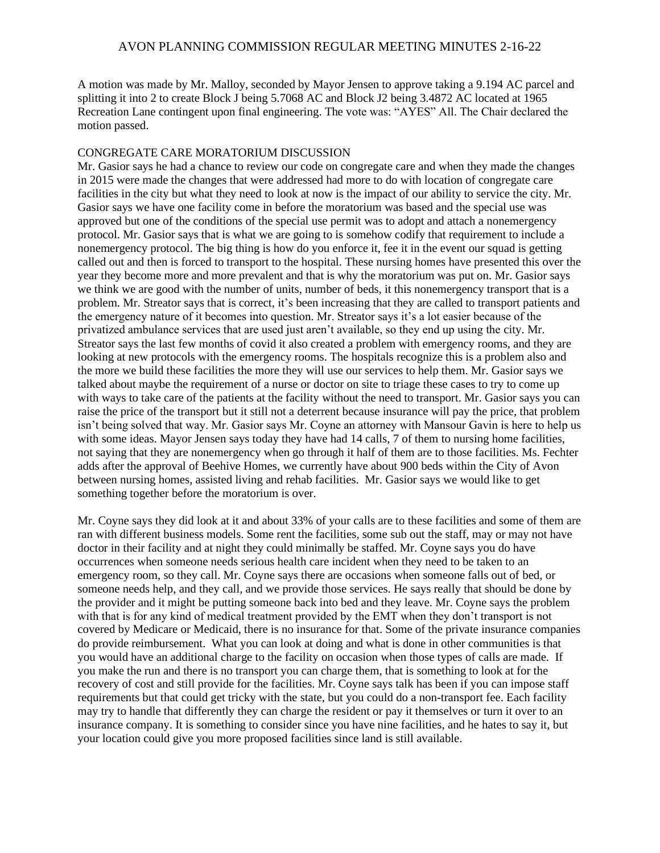A motion was made by Mr. Malloy, seconded by Mayor Jensen to approve taking a 9.194 AC parcel and splitting it into 2 to create Block J being 5.7068 AC and Block J2 being 3.4872 AC located at 1965 Recreation Lane contingent upon final engineering. The vote was: "AYES" All. The Chair declared the motion passed.

#### CONGREGATE CARE MORATORIUM DISCUSSION

Mr. Gasior says he had a chance to review our code on congregate care and when they made the changes in 2015 were made the changes that were addressed had more to do with location of congregate care facilities in the city but what they need to look at now is the impact of our ability to service the city. Mr. Gasior says we have one facility come in before the moratorium was based and the special use was approved but one of the conditions of the special use permit was to adopt and attach a nonemergency protocol. Mr. Gasior says that is what we are going to is somehow codify that requirement to include a nonemergency protocol. The big thing is how do you enforce it, fee it in the event our squad is getting called out and then is forced to transport to the hospital. These nursing homes have presented this over the year they become more and more prevalent and that is why the moratorium was put on. Mr. Gasior says we think we are good with the number of units, number of beds, it this nonemergency transport that is a problem. Mr. Streator says that is correct, it's been increasing that they are called to transport patients and the emergency nature of it becomes into question. Mr. Streator says it's a lot easier because of the privatized ambulance services that are used just aren't available, so they end up using the city. Mr. Streator says the last few months of covid it also created a problem with emergency rooms, and they are looking at new protocols with the emergency rooms. The hospitals recognize this is a problem also and the more we build these facilities the more they will use our services to help them. Mr. Gasior says we talked about maybe the requirement of a nurse or doctor on site to triage these cases to try to come up with ways to take care of the patients at the facility without the need to transport. Mr. Gasior says you can raise the price of the transport but it still not a deterrent because insurance will pay the price, that problem isn't being solved that way. Mr. Gasior says Mr. Coyne an attorney with Mansour Gavin is here to help us with some ideas. Mayor Jensen says today they have had 14 calls, 7 of them to nursing home facilities, not saying that they are nonemergency when go through it half of them are to those facilities. Ms. Fechter adds after the approval of Beehive Homes, we currently have about 900 beds within the City of Avon between nursing homes, assisted living and rehab facilities. Mr. Gasior says we would like to get something together before the moratorium is over.

Mr. Coyne says they did look at it and about 33% of your calls are to these facilities and some of them are ran with different business models. Some rent the facilities, some sub out the staff, may or may not have doctor in their facility and at night they could minimally be staffed. Mr. Coyne says you do have occurrences when someone needs serious health care incident when they need to be taken to an emergency room, so they call. Mr. Coyne says there are occasions when someone falls out of bed, or someone needs help, and they call, and we provide those services. He says really that should be done by the provider and it might be putting someone back into bed and they leave. Mr. Coyne says the problem with that is for any kind of medical treatment provided by the EMT when they don't transport is not covered by Medicare or Medicaid, there is no insurance for that. Some of the private insurance companies do provide reimbursement. What you can look at doing and what is done in other communities is that you would have an additional charge to the facility on occasion when those types of calls are made. If you make the run and there is no transport you can charge them, that is something to look at for the recovery of cost and still provide for the facilities. Mr. Coyne says talk has been if you can impose staff requirements but that could get tricky with the state, but you could do a non-transport fee. Each facility may try to handle that differently they can charge the resident or pay it themselves or turn it over to an insurance company. It is something to consider since you have nine facilities, and he hates to say it, but your location could give you more proposed facilities since land is still available.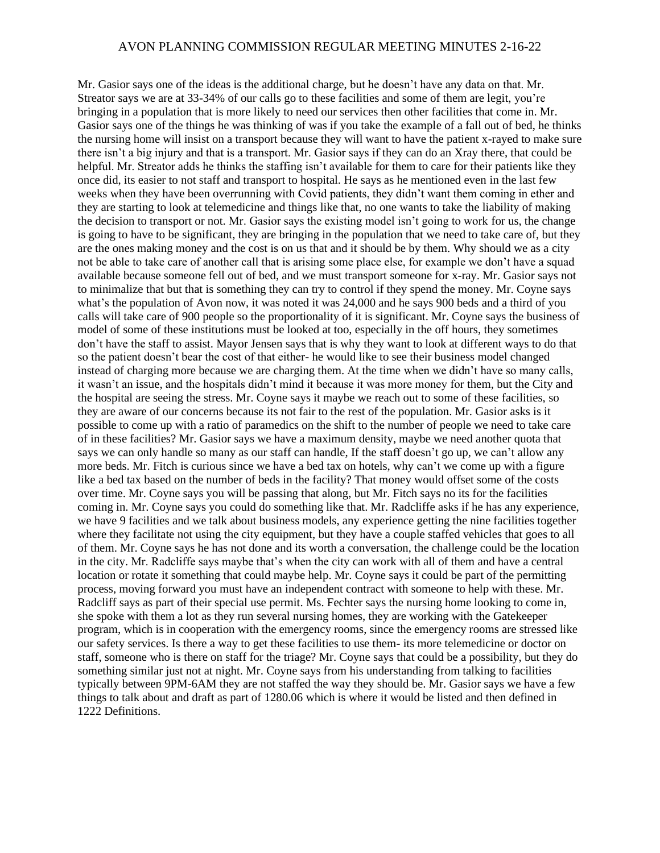Mr. Gasior says one of the ideas is the additional charge, but he doesn't have any data on that. Mr. Streator says we are at 33-34% of our calls go to these facilities and some of them are legit, you're bringing in a population that is more likely to need our services then other facilities that come in. Mr. Gasior says one of the things he was thinking of was if you take the example of a fall out of bed, he thinks the nursing home will insist on a transport because they will want to have the patient x-rayed to make sure there isn't a big injury and that is a transport. Mr. Gasior says if they can do an Xray there, that could be helpful. Mr. Streator adds he thinks the staffing isn't available for them to care for their patients like they once did, its easier to not staff and transport to hospital. He says as he mentioned even in the last few weeks when they have been overrunning with Covid patients, they didn't want them coming in ether and they are starting to look at telemedicine and things like that, no one wants to take the liability of making the decision to transport or not. Mr. Gasior says the existing model isn't going to work for us, the change is going to have to be significant, they are bringing in the population that we need to take care of, but they are the ones making money and the cost is on us that and it should be by them. Why should we as a city not be able to take care of another call that is arising some place else, for example we don't have a squad available because someone fell out of bed, and we must transport someone for x-ray. Mr. Gasior says not to minimalize that but that is something they can try to control if they spend the money. Mr. Coyne says what's the population of Avon now, it was noted it was 24,000 and he says 900 beds and a third of you calls will take care of 900 people so the proportionality of it is significant. Mr. Coyne says the business of model of some of these institutions must be looked at too, especially in the off hours, they sometimes don't have the staff to assist. Mayor Jensen says that is why they want to look at different ways to do that so the patient doesn't bear the cost of that either- he would like to see their business model changed instead of charging more because we are charging them. At the time when we didn't have so many calls, it wasn't an issue, and the hospitals didn't mind it because it was more money for them, but the City and the hospital are seeing the stress. Mr. Coyne says it maybe we reach out to some of these facilities, so they are aware of our concerns because its not fair to the rest of the population. Mr. Gasior asks is it possible to come up with a ratio of paramedics on the shift to the number of people we need to take care of in these facilities? Mr. Gasior says we have a maximum density, maybe we need another quota that says we can only handle so many as our staff can handle, If the staff doesn't go up, we can't allow any more beds. Mr. Fitch is curious since we have a bed tax on hotels, why can't we come up with a figure like a bed tax based on the number of beds in the facility? That money would offset some of the costs over time. Mr. Coyne says you will be passing that along, but Mr. Fitch says no its for the facilities coming in. Mr. Coyne says you could do something like that. Mr. Radcliffe asks if he has any experience, we have 9 facilities and we talk about business models, any experience getting the nine facilities together where they facilitate not using the city equipment, but they have a couple staffed vehicles that goes to all of them. Mr. Coyne says he has not done and its worth a conversation, the challenge could be the location in the city. Mr. Radcliffe says maybe that's when the city can work with all of them and have a central location or rotate it something that could maybe help. Mr. Coyne says it could be part of the permitting process, moving forward you must have an independent contract with someone to help with these. Mr. Radcliff says as part of their special use permit. Ms. Fechter says the nursing home looking to come in, she spoke with them a lot as they run several nursing homes, they are working with the Gatekeeper program, which is in cooperation with the emergency rooms, since the emergency rooms are stressed like our safety services. Is there a way to get these facilities to use them- its more telemedicine or doctor on staff, someone who is there on staff for the triage? Mr. Coyne says that could be a possibility, but they do something similar just not at night. Mr. Coyne says from his understanding from talking to facilities typically between 9PM-6AM they are not staffed the way they should be. Mr. Gasior says we have a few things to talk about and draft as part of 1280.06 which is where it would be listed and then defined in 1222 Definitions.